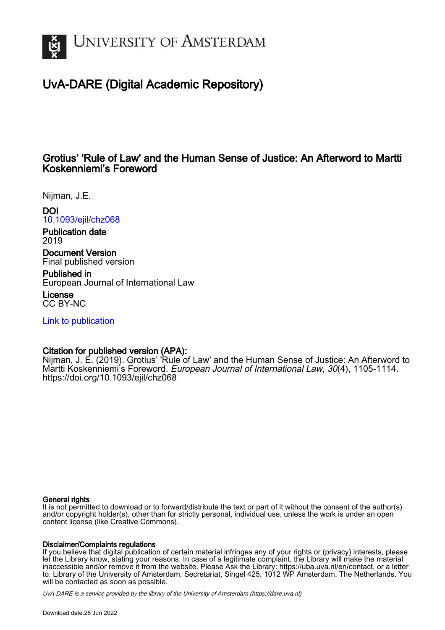

# UvA-DARE (Digital Academic Repository)

## Grotius' 'Rule of Law' and the Human Sense of Justice: An Afterword to Martti Koskenniemi's Foreword

Nijman, J.E.

DOI [10.1093/ejil/chz068](https://doi.org/10.1093/ejil/chz068)

Publication date 2019

Document Version Final published version

Published in European Journal of International Law

License CC BY-NC

[Link to publication](https://dare.uva.nl/personal/pure/en/publications/grotius-rule-of-law-and-the-human-sense-of-justice-an-afterword-to-martti-koskenniemis-foreword(f51df6a0-568c-41d5-904f-bb729c0044aa).html)

### Citation for published version (APA):

Nijman, J. E. (2019). Grotius' 'Rule of Law' and the Human Sense of Justice: An Afterword to Martti Koskenniemi's Foreword. European Journal of International Law, 30(4), 1105-1114. <https://doi.org/10.1093/ejil/chz068>

#### General rights

It is not permitted to download or to forward/distribute the text or part of it without the consent of the author(s) and/or copyright holder(s), other than for strictly personal, individual use, unless the work is under an open content license (like Creative Commons).

#### Disclaimer/Complaints regulations

If you believe that digital publication of certain material infringes any of your rights or (privacy) interests, please let the Library know, stating your reasons. In case of a legitimate complaint, the Library will make the material inaccessible and/or remove it from the website. Please Ask the Library: https://uba.uva.nl/en/contact, or a letter to: Library of the University of Amsterdam, Secretariat, Singel 425, 1012 WP Amsterdam, The Netherlands. You will be contacted as soon as possible.

UvA-DARE is a service provided by the library of the University of Amsterdam (http*s*://dare.uva.nl)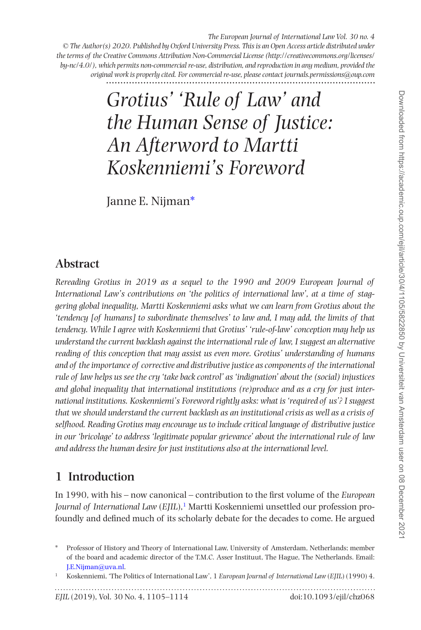*Grotius' 'Rule of Law' and the Human Sense of Justice: An Afterword to Martti Koskenniemi's Foreword*

Janne E. Nijman[\\*](#page-1-0)

### **Abstract**

*Rereading Grotius in 2019 as a sequel to the 1990 and 2009 European Journal of International Law's contributions on 'the politics of international law', at a time of staggering global inequality, Martti Koskenniemi asks what we can learn from Grotius about the 'tendency [of humans] to subordinate themselves' to law and, I may add, the limits of that tendency. While I agree with Koskenniemi that Grotius' 'rule-of-law' conception may help us understand the current backlash against the international rule of law, I suggest an alternative reading of this conception that may assist us even more. Grotius' understanding of humans and of the importance of corrective and distributive justice as components of the international rule of law helps us see the cry 'take back control' as 'indignation' about the (social) injustices and global inequality that international institutions (re)produce and as a cry for just international institutions. Koskenniemi's Foreword rightly asks: what is 'required of us'? I suggest that we should understand the current backlash as an institutional crisis as well as a crisis of selfhood. Reading Grotius may encourage us to include critical language of distributive justice in our 'bricolage' to address 'legitimate popular grievance' about the international rule of law and address the human desire for just institutions also at the international level.*

# **1 Introduction**

In 1990, with his – now canonical – contribution to the first volume of the *European Journal of International Law* (*EJIL*)[,1](#page-1-1) Martti Koskenniemi unsettled our profession profoundly and defined much of its scholarly debate for the decades to come. He argued

<span id="page-1-0"></span><sup>\*</sup> Professor of History and Theory of International Law, University of Amsterdam, Netherlands; member of the board and academic director of the T.M.C. Asser Instituut, The Hague, The Netherlands. Email: [J.E.Nijman@uva.nl](mailto:J.E.Nijman@uva.nl?subject=).

<span id="page-1-1"></span><sup>1</sup> Koskenniemi, 'The Politics of International Law', 1 *European Journal of International Law* (*EJIL*) (1990) 4.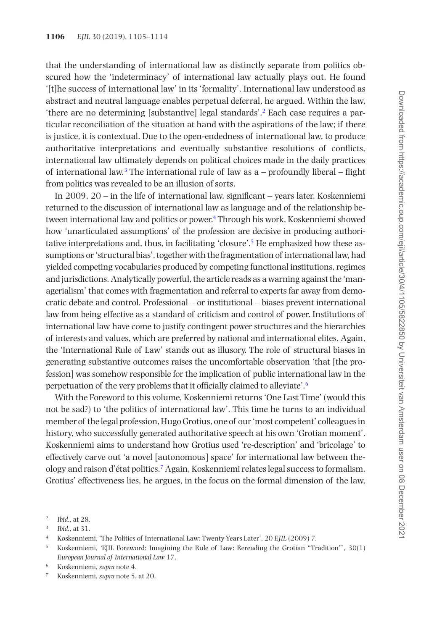that the understanding of international law as distinctly separate from politics obscured how the 'indeterminacy' of international law actually plays out. He found '[t]he success of international law' in its 'formality'. International law understood as abstract and neutral language enables perpetual deferral, he argued. Within the law, 'there are no determining [substantive] legal standards'.[2](#page-2-0) Each case requires a particular reconciliation of the situation at hand with the aspirations of the law; if there is justice, it is contextual. Due to the open-endedness of international law, to produce authoritative interpretations and eventually substantive resolutions of conflicts, international law ultimately depends on political choices made in the daily practices of international law.<sup>3</sup> The international rule of law as  $a$  – profoundly liberal – flight from politics was revealed to be an illusion of sorts.

In 2009, 20 – in the life of international law, significant – years later, Koskenniemi returned to the discussion of international law as language and of the relationship between international law and politics or power[.4](#page-2-2) Through his work, Koskenniemi showed how 'unarticulated assumptions' of the profession are decisive in producing authoritative interpretations and, thus, in facilitating 'closure'.[5](#page-2-3) He emphasized how these assumptions or 'structural bias', together with the fragmentation of international law, had yielded competing vocabularies produced by competing functional institutions, regimes and jurisdictions. Analytically powerful, the article reads as a warning against the 'managerialism' that comes with fragmentation and referral to experts far away from democratic debate and control. Professional – or institutional – biases prevent international law from being effective as a standard of criticism and control of power. Institutions of international law have come to justify contingent power structures and the hierarchies of interests and values, which are preferred by national and international elites. Again, the 'International Rule of Law' stands out as illusory. The role of structural biases in generating substantive outcomes raises the uncomfortable observation 'that [the profession] was somehow responsible for the implication of public international law in the perpetuation of the very problems that it officially claimed to alleviate'.[6](#page-2-4)

With the Foreword to this volume, Koskenniemi returns 'One Last Time' (would this not be sad?) to 'the politics of international law'. This time he turns to an individual member of the legal profession, Hugo Grotius, one of our 'most competent' colleagues in history, who successfully generated authoritative speech at his own 'Grotian moment'. Koskenniemi aims to understand how Grotius used 're-description' and 'bricolage' to effectively carve out 'a novel [autonomous] space' for international law between theology and raison d'état politics[.7](#page-2-5) Again, Koskenniemi relates legal success to formalism. Grotius' effectiveness lies, he argues, in the focus on the formal dimension of the law,

- <span id="page-2-2"></span><sup>4</sup> Koskenniemi, 'The Politics of International Law: Twenty Years Later', 20 *EJIL* (2009) 7.
- <span id="page-2-3"></span><sup>5</sup> Koskenniemi, 'EJIL Foreword: Imagining the Rule of Law: Rereading the Grotian "Tradition"', 30(1) *European Journal of International Law* 17.
- <span id="page-2-4"></span><sup>6</sup> Koskenniemi, *supra* note 4.
- <span id="page-2-5"></span><sup>7</sup> Koskenniemi, *supra* note 5, at 20.

<span id="page-2-0"></span><sup>2</sup> *Ibid*., at 28.

<span id="page-2-1"></span><sup>3</sup> *Ibid*., at 31.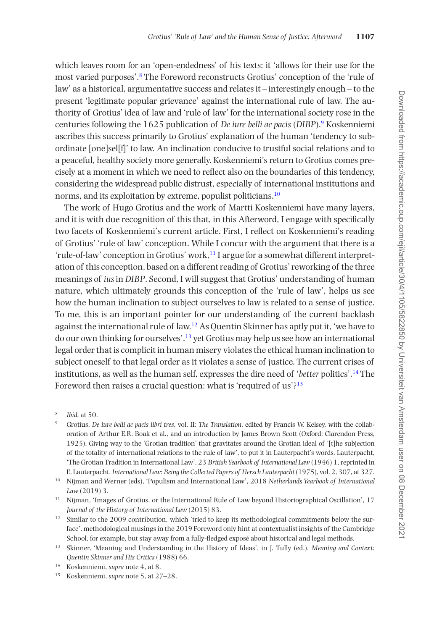which leaves room for an 'open-endedness' of his texts: it 'allows for their use for the most varied purposes'[.8](#page-3-0) The Foreword reconstructs Grotius' conception of the 'rule of law' as a historical, argumentative success and relates it – interestingly enough – to the present 'legitimate popular grievance' against the international rule of law. The authority of Grotius' idea of law and 'rule of law' for the international society rose in the centuries following the 1625 publication of *De iure belli ac pacis* (*DIBP*)[.9](#page-3-1) Koskenniemi ascribes this success primarily to Grotius' explanation of the human 'tendency to subordinate [one]sel[f]' to law. An inclination conducive to trustful social relations and to a peaceful, healthy society more generally. Koskenniemi's return to Grotius comes precisely at a moment in which we need to reflect also on the boundaries of this tendency, considering the widespread public distrust, especially of international institutions and norms, and its exploitation by extreme, populist politicians.<sup>10</sup>

The work of Hugo Grotius and the work of Martti Koskenniemi have many layers, and it is with due recognition of this that, in this Afterword, I engage with specifically two facets of Koskenniemi's current article. First, I reflect on Koskenniemi's reading of Grotius' 'rule of law' conception. While I concur with the argument that there is a 'rule-of-law' conception in Grotius' work,<sup>11</sup> I argue for a somewhat different interpretation of this conception, based on a different reading of Grotius' reworking of the three meanings of *ius* in *DIBP*. Second, I will suggest that Grotius' understanding of human nature, which ultimately grounds this conception of the 'rule of law', helps us see how the human inclination to subject ourselves to law is related to a sense of justice. To me, this is an important pointer for our understanding of the current backlash against the international rule of law[.12](#page-3-4) As Quentin Skinner has aptly put it, 'we have to do our own thinking for ourselves',<sup>[13](#page-3-5)</sup> yet Grotius may help us see how an international legal order that is complicit in human misery violates the ethical human inclination to subject oneself to that legal order as it violates a sense of justice. The current crises of institutions, as well as the human self, expresses the dire need of '*better* politics'[.14](#page-3-6) The Foreword then raises a crucial question: what is 'required of us'[?15](#page-3-7)

- <span id="page-3-1"></span><sup>9</sup> Grotius, *De iure belli ac pacis libri tres*, vol. II: *The Translation*, edited by Francis W. Kelsey, with the collaboration of Arthur E.R. Boak et al., and an introduction by James Brown Scott (Oxford: Clarendon Press, 1925). Giving way to the 'Grotian tradition' that gravitates around the Grotian ideal of '[t]he subjection of the totality of international relations to the rule of law', to put it in Lauterpacht's words. Lauterpacht, 'The Grotian Tradition in International Law', 23 *British Yearbook of International Law* (1946) 1, reprinted in E. Lauterpacht, *International Law: Being the Collected Papers of Hersch Lauterpacht* (1975), vol. 2, 307, at 327.
- <span id="page-3-2"></span><sup>10</sup> Nijman and Werner (eds), 'Populism and International Law', 2018 *Netherlands Yearbook of International Law* (2019) 3.
- <span id="page-3-3"></span><sup>11</sup> Nijman, 'Images of Grotius, or the International Rule of Law beyond Historiographical Oscillation', 17 *Journal of the History of International Law* (2015) 83.
- <span id="page-3-4"></span><sup>12</sup> Similar to the 2009 contribution, which 'tried to keep its methodological commitments below the surface', methodological musings in the 2019 Foreword only hint at contextualist insights of the Cambridge School, for example, but stay away from a fully-fledged exposé about historical and legal methods.
- <span id="page-3-5"></span><sup>13</sup> Skinner, 'Meaning and Understanding in the History of Ideas', in J. Tully (ed.), *Meaning and Context: Quentin Skinner and His Critics* (1988) 66.
- <span id="page-3-6"></span><sup>14</sup> Koskenniemi, *supra* note 4, at 8.
- <span id="page-3-7"></span><sup>15</sup> Koskenniemi, *supra* note 5, at 27–28.

<span id="page-3-0"></span><sup>8</sup> *Ibid*, at 50.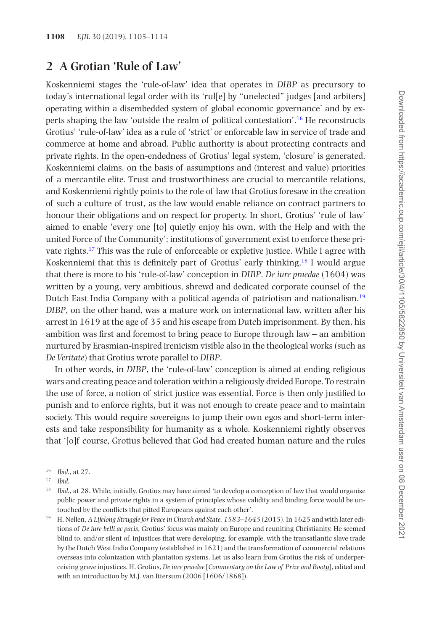#### **2 A Grotian 'Rule of Law'**

Koskenniemi stages the 'rule-of-law' idea that operates in *DIBP* as precursory to today's international legal order with its 'rul[e] by "unelected" judges [and arbiters] operating within a disembedded system of global economic governance' and by experts shaping the law 'outside the realm of political contestation'.[16](#page-4-0) He reconstructs Grotius' 'rule-of-law' idea as a rule of 'strict' or enforcable law in service of trade and commerce at home and abroad. Public authority is about protecting contracts and private rights. In the open-endedness of Grotius' legal system, 'closure' is generated, Koskenniemi claims, on the basis of assumptions and (interest and value) priorities of a mercantile elite. Trust and trustworthiness are crucial to mercantile relations, and Koskenniemi rightly points to the role of law that Grotius foresaw in the creation of such a culture of trust, as the law would enable reliance on contract partners to honour their obligations and on respect for property. In short, Grotius' 'rule of law' aimed to enable 'every one [to] quietly enjoy his own, with the Help and with the united Force of the Community'; institutions of government exist to enforce these private rights[.17](#page-4-1) This was the rule of enforceable or expletive justice. While I agree with Koskenniemi that this is definitely part of Grotius' early thinking, $18$  I would argue that there is more to his 'rule-of-law' conception in *DIBP*. *De iure praedae* (1604) was written by a young, very ambitious, shrewd and dedicated corporate counsel of the Dutch East India Company with a political agenda of patriotism and nationalism.[19](#page-4-3) *DIBP*, on the other hand, was a mature work on international law, written after his arrest in 1619 at the age of 35 and his escape from Dutch imprisonment. By then, his ambition was first and foremost to bring peace to Europe through law – an ambition nurtured by Erasmian-inspired irenicism visible also in the theological works (such as *De Veritate*) that Grotius wrote parallel to *DIBP*.

In other words, in *DIBP*, the 'rule-of-law' conception is aimed at ending religious wars and creating peace and toleration within a religiously divided Europe. To restrain the use of force, a notion of strict justice was essential. Force is then only justified to punish and to enforce rights, but it was not enough to create peace and to maintain society. This would require sovereigns to jump their own egos and short-term interests and take responsibility for humanity as a whole. Koskenniemi rightly observes that '[o]f course, Grotius believed that God had created human nature and the rules

<span id="page-4-3"></span><sup>19</sup> H. Nellen, *A Lifelong Struggle for Peace in Church and State, 1583*-1645 (2015). In 1625 and with later editions of *De iure belli ac pacis*, Grotius' focus was mainly on Europe and reuniting Christianity. He seemed blind to, and/or silent of, injustices that were developing, for example, with the transatlantic slave trade by the Dutch West India Company (established in 1621) and the transformation of commercial relations overseas into colonization with plantation systems. Let us also learn from Grotius the risk of underperceiving grave injustices. H. Grotius, *De iure praedae* [*Commentary on the Law of Prize and Booty*], edited and with an introduction by M.J. van Ittersum (2006 [1606/1868]).

<span id="page-4-0"></span><sup>16</sup> *Ibid.*, at 27.

<span id="page-4-1"></span><sup>17</sup> *Ibid*.

<span id="page-4-2"></span><sup>&</sup>lt;sup>18</sup> *Ibid.*, at 28. While, initially, Grotius may have aimed 'to develop a conception of law that would organize public power and private rights in a system of principles whose validity and binding force would be untouched by the conflicts that pitted Europeans against each other'.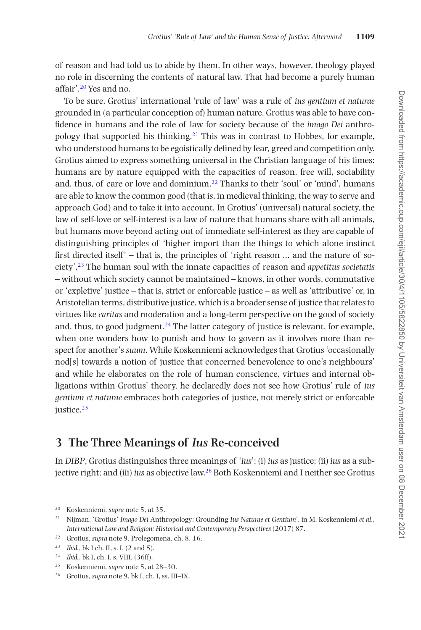of reason and had told us to abide by them. In other ways, however, theology played no role in discerning the contents of natural law. That had become a purely human affair'[.20](#page-5-0) Yes and no.

To be sure, Grotius' international 'rule of law' was a rule of *ius gentium et naturae* grounded in (a particular conception of) human nature. Grotius was able to have confidence in humans and the role of law for society because of the *imago Dei* anthropology that supported his thinking.<sup>21</sup> This was in contrast to Hobbes, for example, who understood humans to be egoistically defined by fear, greed and competition only. Grotius aimed to express something universal in the Christian language of his times: humans are by nature equipped with the capacities of reason, free will, sociability and, thus, of care or love and dominium.<sup>22</sup> Thanks to their 'soul' or 'mind', humans are able to know the common good (that is, in medieval thinking, the way to serve and approach God) and to take it into account. In Grotius' (universal) natural society, the law of self-love or self-interest is a law of nature that humans share with all animals, but humans move beyond acting out of immediate self-interest as they are capable of distinguishing principles of 'higher import than the things to which alone instinct first directed itself' – that is, the principles of 'right reason  $\ldots$  and the nature of society'.[23](#page-5-3) The human soul with the innate capacities of reason and *appetitus societatis* – without which society cannot be maintained – knows, in other words, commutative or 'expletive' justice – that is, strict or enforcable justice – as well as 'attributive' or, in Aristotelian terms, distributive justice, which is a broader sense of justice that relates to virtues like *caritas* and moderation and a long-term perspective on the good of society and, thus, to good judgment[.24](#page-5-4) The latter category of justice is relevant, for example, when one wonders how to punish and how to govern as it involves more than respect for another's *suum*. While Koskenniemi acknowledges that Grotius 'occasionally nod[s] towards a notion of justice that concerned benevolence to one's neighbours' and while he elaborates on the role of human conscience, virtues and internal obligations within Grotius' theory, he declaredly does not see how Grotius' rule of *ius gentium et naturae* embraces both categories of justice, not merely strict or enforcable justice.<sup>25</sup>

#### **3 The Three Meanings of** *Ius* **Re-conceived**

In *DIBP*, Grotius distinguishes three meanings of '*ius*': (i) *ius* as justice; (ii) *ius* as a subjective right; and (iii) *ius* as objective law[.26](#page-5-6) Both Koskenniemi and I neither see Grotius

- <span id="page-5-2"></span><sup>22</sup> Grotius, *supra* note 9, Prolegomena, ch. 8, 16.
- <span id="page-5-3"></span><sup>23</sup> *Ibid.*, bk I ch. II, s. I, (2 and 5).
- <span id="page-5-4"></span><sup>24</sup> *Ibid.*, bk I, ch. I, s. VIII, (36ff).
- <span id="page-5-5"></span><sup>25</sup> Koskenniemi, *supra* note 5, at 28–30.
- <span id="page-5-6"></span><sup>26</sup> Grotius, *supra* note 9, bk I, ch. I, ss. III–IX.

<span id="page-5-0"></span><sup>20</sup> Koskenniemi, *supra* note 5, at 35.

<span id="page-5-1"></span><sup>21</sup> Nijman, 'Grotius' *Imago Dei* Anthropology: Grounding *Ius Naturae et Gentium*', in M. Koskenniemi *et al*., *International Law and Religion: Historical and Contemporary Perspectives* (2017) 87.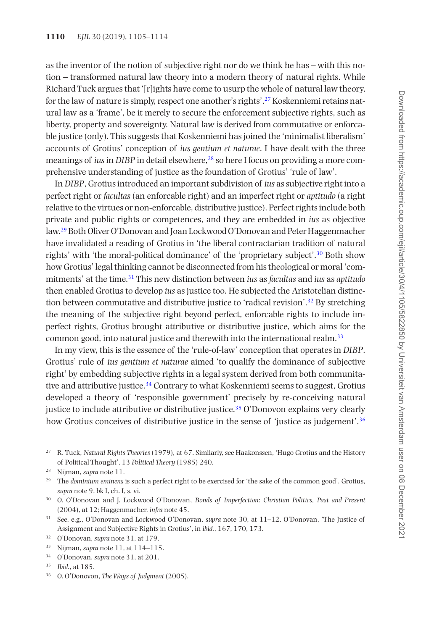as the inventor of the notion of subjective right nor do we think he has – with this notion – transformed natural law theory into a modern theory of natural rights. While Richard Tuck argues that '[r]ights have come to usurp the whole of natural law theory, for the law of nature is simply, respect one another's rights',<sup>27</sup> Koskenniemi retains natural law as a 'frame', be it merely to secure the enforcement subjective rights, such as liberty, property and sovereignty. Natural law is derived from commutative or enforcable justice (only). This suggests that Koskenniemi has joined the 'minimalist liberalism' accounts of Grotius' conception of *ius gentium et naturae*. I have dealt with the three meanings of *ius* in *DIBP* in detail elsewhere[,28](#page-6-1) so here I focus on providing a more comprehensive understanding of justice as the foundation of Grotius' 'rule of law'.

In *DIBP*, Grotius introduced an important subdivision of *ius* as subjective right into a perfect right or *facultas* (an enforcable right) and an imperfect right or *aptitudo* (a right relative to the virtues or non-enforcable, distributive justice). Perfect rights include both private and public rights or competences, and they are embedded in *ius* as objective law.[29](#page-6-2) Both Oliver O'Donovan and Joan Lockwood O'Donovan and Peter Haggenmacher have invalidated a reading of Grotius in 'the liberal contractarian tradition of natural rights' with 'the moral-political dominance' of the 'proprietary subject'.[30](#page-6-3) Both show how Grotius' legal thinking cannot be disconnected from his theological or moral 'commitments' at the time.[31](#page-6-4) This new distinction between *ius* as *facultas* and *ius* as *aptitudo* then enabled Grotius to develop *ius* as justice too. He subjected the Aristotelian distinction between commutative and distributive justice to 'radical revision'[.32](#page-6-5) By stretching the meaning of the subjective right beyond perfect, enforcable rights to include imperfect rights, Grotius brought attributive or distributive justice, which aims for the common good, into natural justice and therewith into the international realm.<sup>33</sup>

In my view, this is the essence of the 'rule-of-law' conception that operates in *DIBP*. Grotius' rule of *ius gentium et naturae* aimed 'to qualify the dominance of subjective right' by embedding subjective rights in a legal system derived from both communitative and attributive justice.<sup>34</sup> Contrary to what Koskenniemi seems to suggest, Grotius developed a theory of 'responsible government' precisely by re-conceiving natural justice to include attributive or distributive justice.<sup>35</sup> O'Donovon explains very clearly how Grotius conceives of distributive justice in the sense of 'justice as judgement'.<sup>[36](#page-6-9)</sup>

- <span id="page-6-0"></span><sup>27</sup> R. Tuck, *Natural Rights Theories* (1979), at 67. Similarly, see Haakonssen, 'Hugo Grotius and the History of Political Thought', 13 *Political Theory* (1985) 240.
- <span id="page-6-1"></span><sup>28</sup> Nijman, *supra* note 11.
- <span id="page-6-2"></span><sup>29</sup> The *dominium eminens* is such a perfect right to be exercised for 'the sake of the common good'. Grotius, *supra* note 9, bk I, ch. I, s. vi.
- <span id="page-6-3"></span><sup>30</sup> O. O'Donovan and J. Lockwood O'Donovan, *Bonds of Imperfection: Christian Politics, Past and Present* (2004), at 12; Haggenmacher, *infra* note 45.
- <span id="page-6-4"></span><sup>31</sup> See, e.g., O'Donovan and Lockwood O'Donovan, *supra* note 30, at 11–12. O'Donovan, 'The Justice of Assignment and Subjective Rights in Grotius', in *ibid.*, 167, 170, 173.
- <span id="page-6-5"></span><sup>32</sup> O'Donovan, *supra* note 31, at 179.
- <span id="page-6-6"></span><sup>33</sup> Nijman, *supra* note 11, at 114–115.
- <span id="page-6-7"></span><sup>34</sup> O'Donovan, *supra* note 31, at 201.
- <span id="page-6-8"></span><sup>35</sup> *Ibid.*, at 185.
- <span id="page-6-9"></span><sup>36</sup> O. O'Donovon, *The Ways of Judgment* (2005).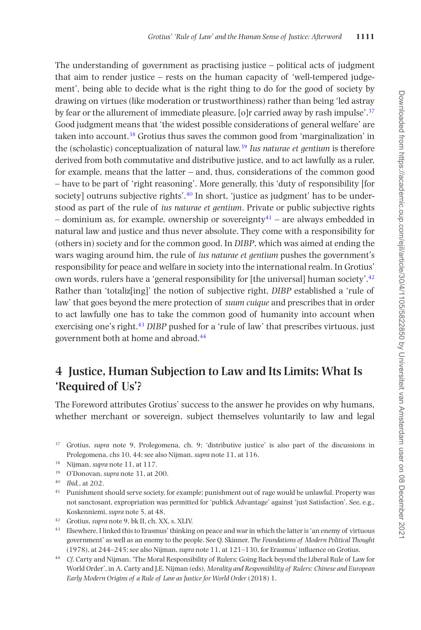The understanding of government as practising justice – political acts of judgment that aim to render justice – rests on the human capacity of 'well-tempered judgement', being able to decide what is the right thing to do for the good of society by drawing on virtues (like moderation or trustworthiness) rather than being 'led astray by fear or the allurement of immediate pleasure, [o]r carried away by rash impulse'[.37](#page-7-0) Good judgment means that 'the widest possible considerations of general welfare' are taken into account.[38](#page-7-1) Grotius thus saves the common good from 'marginalization' in the (scholastic) conceptualization of natural law[.39](#page-7-2) *Ius naturae et gentium* is therefore derived from both commutative and distributive justice, and to act lawfully as a ruler, for example, means that the latter – and, thus, considerations of the common good – have to be part of 'right reasoning'. More generally, this 'duty of responsibility [for society] outruns subjective rights'.<sup>[40](#page-7-3)</sup> In short, 'justice as judgment' has to be understood as part of the rule of *ius naturae et gentium*. Private or public subjective rights – dominium as, for example, ownership or sovereignty<sup>41</sup> – are always embedded in natural law and justice and thus never absolute. They come with a responsibility for (others in) society and for the common good. In *DIBP*, which was aimed at ending the wars waging around him, the rule of *ius naturae et gentium* pushes the government's responsibility for peace and welfare in society into the international realm. In Grotius' own words, rulers have a 'general responsibility for [the universal] human society'[.42](#page-7-5) Rather than 'totaliz[ing]' the notion of subjective right, *DIBP* established a 'rule of law' that goes beyond the mere protection of *suum cuique* and prescribes that in order to act lawfully one has to take the common good of humanity into account when exercising one's right[.43](#page-7-6) *DIBP* pushed for a 'rule of law' that prescribes virtuous, just government both at home and abroad[.44](#page-7-7)

### **4 Justice, Human Subjection to Law and Its Limits: What Is 'Required of Us'?**

The Foreword attributes Grotius' success to the answer he provides on why humans, whether merchant or sovereign, subject themselves voluntarily to law and legal

- <span id="page-7-4"></span><sup>41</sup> Punishment should serve society, for example; punishment out of rage would be unlawful. Property was not sanctosant, expropriation was permitted for 'publick Advantage' against 'just Satisfaction'. See, e.g., Koskenniemi, *supra* note 5, at 48.
- <span id="page-7-5"></span><sup>42</sup> Grotius, *supra* note 9, bk II, ch. XX, s. XLIV.
- <span id="page-7-6"></span><sup>43</sup> Elsewhere, I linked this to Erasmus' thinking on peace and war in which the latter is 'an enemy of virtuous government' as well as an enemy to the people. See Q. Skinner, *The Foundations of Modern Political Thought* (1978), at 244–245; see also Nijman, *supra* note 11, at 121–130, for Erasmus' influence on Grotius.
- <span id="page-7-7"></span><sup>44</sup> *Cf*. Carty and Nijman, 'The Moral Responsibility of Rulers: Going Back beyond the Liberal Rule of Law for World Order', in A. Carty and J.E. Nijman (eds), *Morality and Responsibility of Rulers: Chinese and European Early Modern Origins of a Rule of Law as Justice for World Order* (2018) 1.

<span id="page-7-0"></span><sup>37</sup> Grotius, *supra* note 9, Prolegomena, ch. 9; 'distributive justice' is also part of the discussions in Prolegomena, chs 10, 44; see also Nijman, *supra* note 11, at 116.

<span id="page-7-1"></span><sup>38</sup> Nijman, *supra* note 11, at 117.

<span id="page-7-2"></span><sup>39</sup> O'Donovan, *supra* note 31, at 200.

<span id="page-7-3"></span><sup>40</sup> *Ibid.*, at 202.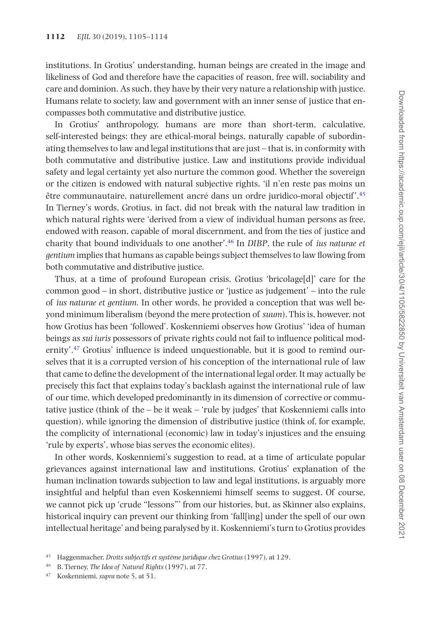institutions. In Grotius' understanding, human beings are created in the image and likeliness of God and therefore have the capacities of reason, free will, sociability and care and dominion. As such, they have by their very nature a relationship with justice. Humans relate to society, law and government with an inner sense of justice that encompasses both commutative and distributive justice.

In Grotius' anthropology, humans are more than short-term, calculative, self-interested beings; they are ethical-moral beings, naturally capable of subordinating themselves to law and legal institutions that are just – that is, in conformity with both commutative and distributive justice. Law and institutions provide individual safety and legal certainty yet also nurture the common good. Whether the sovereign or the citizen is endowed with natural subjective rights, 'il n'en reste pas moins un être communautaire, naturellement ancré dans un ordre juridico-moral objectif '.[45](#page-8-0) In Tierney's words, Grotius, in fact, did not break with the natural law tradition in which natural rights were 'derived from a view of individual human persons as free, endowed with reason, capable of moral discernment, and from the ties of justice and charity that bound individuals to one another'[.46](#page-8-1) In *DIBP*, the rule of *ius naturae et gentium* implies that humans as capable beings subject themselves to law flowing from both commutative and distributive justice.

Thus, at a time of profound European crisis, Grotius 'bricolage[d]' care for the common good – in short, distributive justice or 'justice as judgement' – into the rule of *ius naturae et gentium.* In other words, he provided a conception that was well beyond minimum liberalism (beyond the mere protection of *suum*). This is, however, not how Grotius has been 'followed'. Koskenniemi observes how Grotius' 'idea of human beings as *sui iuris* possessors of private rights could not fail to influence political modernity'[.47](#page-8-2) Grotius' influence is indeed unquestionable, but it is good to remind ourselves that it is a corrupted version of his conception of the international rule of law that came to define the development of the international legal order. It may actually be precisely this fact that explains today's backlash against the international rule of law of our time, which developed predominantly in its dimension of corrective or commutative justice (think of the – be it weak – 'rule by judges' that Koskenniemi calls into question), while ignoring the dimension of distributive justice (think of, for example, the complicity of international (economic) law in today's injustices and the ensuing 'rule by experts', whose bias serves the economic elites).

In other words, Koskenniemi's suggestion to read, at a time of articulate popular grievances against international law and institutions, Grotius' explanation of the human inclination towards subjection to law and legal institutions, is arguably more insightful and helpful than even Koskenniemi himself seems to suggest. Of course, we cannot pick up 'crude "lessons"' from our histories, but, as Skinner also explains, historical inquiry can prevent our thinking from 'fall[ing] under the spell of our own intellectual heritage' and being paralysed by it. Koskenniemi's turn to Grotius provides

<span id="page-8-0"></span><sup>45</sup> Haggenmacher, *Droits subjectifs et système juridique chez Grotius* (1997), at 129.

<span id="page-8-1"></span><sup>46</sup> B. Tierney, *The Idea of Natural Rights* (1997), at 77.

<span id="page-8-2"></span><sup>47</sup> Koskenniemi, *supra* note 5, at 51.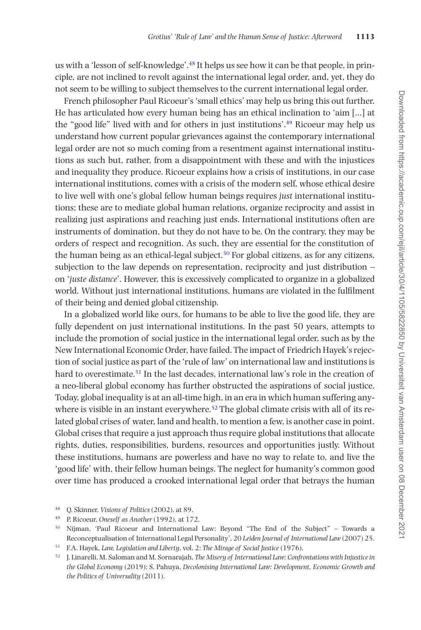us with a 'lesson of self-knowledge'.<sup>[48](#page-9-0)</sup> It helps us see how it can be that people, in principle, are not inclined to revolt against the international legal order, and, yet, they do not seem to be willing to subject themselves to the current international legal order.

French philosopher Paul Ricoeur's 'small ethics' may help us bring this out further. He has articulated how every human being has an ethical inclination to 'aim […] at the "good life" lived with and for others in just institutions'.[49](#page-9-1) Ricoeur may help us understand how current popular grievances against the contemporary international legal order are not so much coming from a resentment against international institutions as such but, rather, from a disappointment with these and with the injustices and inequality they produce. Ricoeur explains how a crisis of institutions, in our case international institutions, comes with a crisis of the modern self, whose ethical desire to live well with one's global fellow human beings requires *just* international institutions; these are to mediate global human relations, organize reciprocity and assist in realizing just aspirations and reaching just ends. International institutions often are instruments of domination, but they do not have to be. On the contrary, they may be orders of respect and recognition. As such, they are essential for the constitution of the human being as an ethical-legal subject.<sup>[50](#page-9-2)</sup> For global citizens, as for any citizens, subjection to the law depends on representation, reciprocity and just distribution – on '*juste distance*'. However, this is excessively complicated to organize in a globalized world. Without just international institutions, humans are violated in the fulfilment of their being and denied global citizenship.

In a globalized world like ours, for humans to be able to live the good life, they are fully dependent on just international institutions. In the past 50 years, attempts to include the promotion of social justice in the international legal order, such as by the New International Economic Order, have failed. The impact of Friedrich Hayek's rejection of social justice as part of the 'rule of law' on international law and institutions is hard to overestimate.<sup>51</sup> In the last decades, international law's role in the creation of a neo-liberal global economy has further obstructed the aspirations of social justice. Today, global inequality is at an all-time high, in an era in which human suffering anywhere is visible in an instant everywhere.<sup>52</sup> The global climate crisis with all of its related global crises of water, land and health, to mention a few, is another case in point. Global crises that require a just approach thus require global institutions that allocate rights, duties, responsibilities, burdens, resources and opportunities justly. Without these institutions, humans are powerless and have no way to relate to, and live the 'good life' with, their fellow human beings. The neglect for humanity's common good over time has produced a crooked international legal order that betrays the human

- <span id="page-9-3"></span><sup>51</sup> F.A. Hayek, *Law, Legislation and Liberty*, vol. 2: *The Mirage of Social Justice* (1976).
- <span id="page-9-4"></span><sup>52</sup> J. Linarelli, M. Saloman and M. Sornarajah, *The Misery of International Law: Confrontations with Injustice in the Global Economy* (2019); S. Pahuya, *Decolonising International Law: Development, Economic Growth and the Politics of Universality* (2011).

<span id="page-9-0"></span><sup>48</sup> Q. Skinner, *Visions of Politics* (2002), at 89.

<span id="page-9-1"></span><sup>49</sup> P. Ricoeur, *Oneself as Another* (1992), at 172.

<span id="page-9-2"></span><sup>50</sup> Nijman, 'Paul Ricoeur and International Law: Beyond "The End of the Subject" – Towards a Reconceptualisation of International Legal Personality', 20 *Leiden Journal of International Law* (2007) 25.